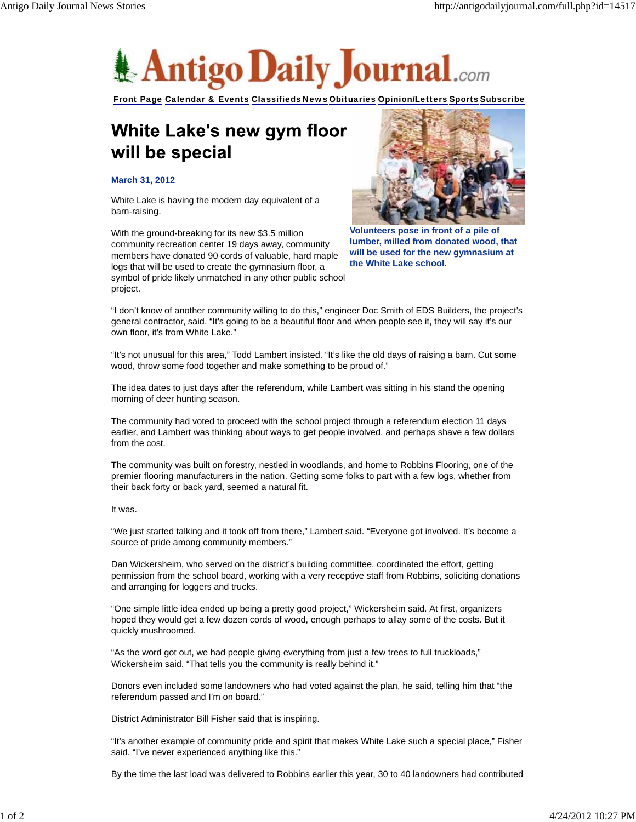

Front Page Calendar & Events Classifieds News Obituaries Opinion/Letters Sports Subscribe

## White Lake's new gym floor will be special

## **March 31, 2012**

White Lake is having the modern day equivalent of a barn-raising.

With the ground-breaking for its new \$3.5 million community recreation center 19 days away, community members have donated 90 cords of valuable, hard maple logs that will be used to create the gymnasium floor, a symbol of pride likely unmatched in any other public school project.



**Volunteers pose in front of a pile of lumber, milled from donated wood, that will be used for the new gymnasium at the White Lake school.**

"I don't know of another community willing to do this," engineer Doc Smith of EDS Builders, the project's general contractor, said. "It's going to be a beautiful floor and when people see it, they will say it's our own floor, it's from White Lake."

"It's not unusual for this area," Todd Lambert insisted. "It's like the old days of raising a barn. Cut some wood, throw some food together and make something to be proud of."

The idea dates to just days after the referendum, while Lambert was sitting in his stand the opening morning of deer hunting season.

The community had voted to proceed with the school project through a referendum election 11 days earlier, and Lambert was thinking about ways to get people involved, and perhaps shave a few dollars from the cost.

The community was built on forestry, nestled in woodlands, and home to Robbins Flooring, one of the premier flooring manufacturers in the nation. Getting some folks to part with a few logs, whether from their back forty or back yard, seemed a natural fit.

## It was.

"We just started talking and it took off from there," Lambert said. "Everyone got involved. It's become a source of pride among community members."

Dan Wickersheim, who served on the district's building committee, coordinated the effort, getting permission from the school board, working with a very receptive staff from Robbins, soliciting donations and arranging for loggers and trucks.

"One simple little idea ended up being a pretty good project," Wickersheim said. At first, organizers hoped they would get a few dozen cords of wood, enough perhaps to allay some of the costs. But it quickly mushroomed.

"As the word got out, we had people giving everything from just a few trees to full truckloads," Wickersheim said. "That tells you the community is really behind it."

Donors even included some landowners who had voted against the plan, he said, telling him that "the referendum passed and I'm on board."

District Administrator Bill Fisher said that is inspiring.

"It's another example of community pride and spirit that makes White Lake such a special place," Fisher said. "I've never experienced anything like this."

By the time the last load was delivered to Robbins earlier this year, 30 to 40 landowners had contributed